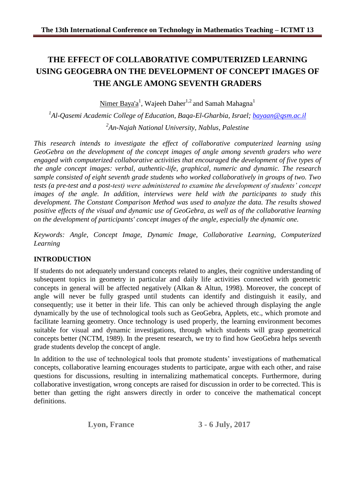# **THE EFFECT OF COLLABORATIVE COMPUTERIZED LEARNING USING GEOGEBRA ON THE DEVELOPMENT OF CONCEPT IMAGES OF THE ANGLE AMONG SEVENTH GRADERS**

 $\rm {Nimer \, Baya'a^1, \, Wajeeh \, Daher^{1,2}}$  and  $\rm {Samah \, Mahagna^1}$ 

*1 Al-Qasemi Academic College of Education, Baqa-El-Gharbia, Israel; [bayaan@qsm.ac.il](mailto:bayaan@qsm.ac.il) 2 An-Najah National University, Nablus, Palestine*

*This research intends to investigate the effect of collaborative computerized learning using GeoGebra on the development of the concept images of angle among seventh graders who were engaged with computerized collaborative activities that encouraged the development of five types of the angle concept images: verbal, authentic-life, graphical, numeric and dynamic. The research sample consisted of eight seventh grade students who worked collaboratively in groups of two. Two tests (a pre-test and a post-test) were administered to examine the development of students' concept images of the angle. In addition, interviews were held with the participants to study this development. The Constant Comparison Method was used to analyze the data. The results showed positive effects of the visual and dynamic use of GeoGebra, as well as of the collaborative learning on the development of participants' concept images of the angle, especially the dynamic one.* 

*Keywords: Angle, Concept Image, Dynamic Image, Collaborative Learning, Computerized Learning*

# **INTRODUCTION**

If students do not adequately understand concepts related to angles, their cognitive understanding of subsequent topics in geometry in particular and daily life activities connected with geometric concepts in general will be affected negatively (Alkan & Altun, 1998). Moreover, the concept of angle will never be fully grasped until students can identify and distinguish it easily, and consequently; use it better in their life. This can only be achieved through displaying the angle dynamically by the use of technological tools such as GeoGebra, Applets, etc., which promote and facilitate learning geometry. Once technology is used properly, the learning environment becomes suitable for visual and dynamic investigations, through which students will grasp geometrical concepts better (NCTM, 1989). In the present research, we try to find how GeoGebra helps seventh grade students develop the concept of angle.

In addition to the use of technological tools that promote students' investigations of mathematical concepts, collaborative learning encourages students to participate, argue with each other, and raise questions for discussions, resulting in internalizing mathematical concepts. Furthermore, during collaborative investigation, wrong concepts are raised for discussion in order to be corrected. This is better than getting the right answers directly in order to conceive the mathematical concept definitions.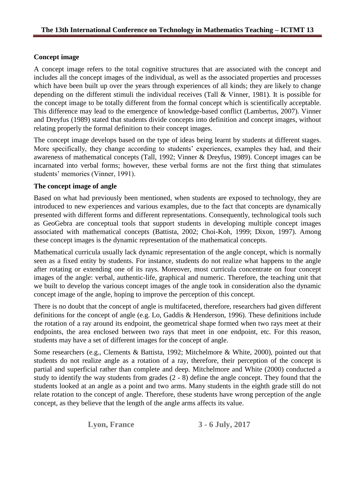# **Concept image**

A concept image refers to the total cognitive structures that are associated with the concept and includes all the concept images of the individual, as well as the associated properties and processes which have been built up over the years through experiences of all kinds; they are likely to change depending on the different stimuli the individual receives (Tall & Vinner, 1981). It is possible for the concept image to be totally different from the formal concept which is scientifically acceptable. This difference may lead to the emergence of knowledge-based conflict (Lambertus, 2007). Vinner and Dreyfus (1989) stated that students divide concepts into definition and concept images, without relating properly the formal definition to their concept images.

The concept image develops based on the type of ideas being learnt by students at different stages. More specifically, they change according to students' experiences, examples they had, and their awareness of mathematical concepts (Tall, 1992; Vinner & Dreyfus, 1989). Concept images can be incarnated into verbal forms; however, these verbal forms are not the first thing that stimulates students' memories (Vinner, 1991).

# **The concept image of angle**

Based on what had previously been mentioned, when students are exposed to technology, they are introduced to new experiences and various examples, due to the fact that concepts are dynamically presented with different forms and different representations. Consequently, technological tools such as GeoGebra are conceptual tools that support students in developing multiple concept images associated with mathematical concepts (Battista, 2002; Choi-Koh, 1999; Dixon, 1997). Among these concept images is the dynamic representation of the mathematical concepts.

Mathematical curricula usually lack dynamic representation of the angle concept, which is normally seen as a fixed entity by students. For instance, students do not realize what happens to the angle after rotating or extending one of its rays. Moreover, most curricula concentrate on four concept images of the angle: verbal, authentic-life, graphical and numeric. Therefore, the teaching unit that we built to develop the various concept images of the angle took in consideration also the dynamic concept image of the angle, hoping to improve the perception of this concept.

There is no doubt that the concept of angle is multifaceted, therefore, researchers had given different definitions for the concept of angle (e.g. Lo, Gaddis & Henderson, 1996). These definitions include the rotation of a ray around its endpoint, the geometrical shape formed when two rays meet at their endpoints, the area enclosed between two rays that meet in one endpoint, etc. For this reason, students may have a set of different images for the concept of angle.

Some researchers (e.g., Clements & Battista, 1992; Mitchelmore & White, 2000), pointed out that students do not realize angle as a rotation of a ray, therefore, their perception of the concept is partial and superficial rather than complete and deep. Mitchelmore and White (2000) conducted a study to identify the way students from grades (2 - 8) define the angle concept. They found that the students looked at an angle as a point and two arms. Many students in the eighth grade still do not relate rotation to the concept of angle. Therefore, these students have wrong perception of the angle concept, as they believe that the length of the angle arms affects its value.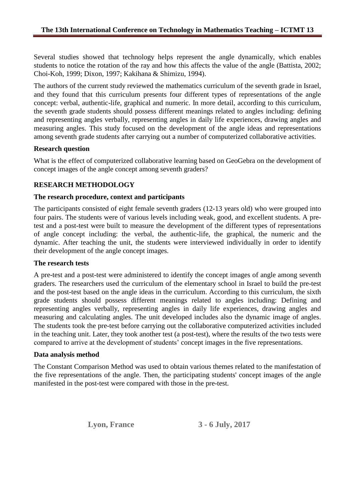Several studies showed that technology helps represent the angle dynamically, which enables students to notice the rotation of the ray and how this affects the value of the angle (Battista, 2002; Choi-Koh, 1999; Dixon, 1997; Kakihana & Shimizu, 1994).

The authors of the current study reviewed the mathematics curriculum of the seventh grade in Israel, and they found that this curriculum presents four different types of representations of the angle concept: verbal, authentic-life, graphical and numeric. In more detail, according to this curriculum, the seventh grade students should possess different meanings related to angles including: defining and representing angles verbally, representing angles in daily life experiences, drawing angles and measuring angles. This study focused on the development of the angle ideas and representations among seventh grade students after carrying out a number of computerized collaborative activities.

#### **Research question**

What is the effect of computerized collaborative learning based on GeoGebra on the development of concept images of the angle concept among seventh graders?

## **RESEARCH METHODOLOGY**

#### **The research procedure, context and participants**

The participants consisted of eight female seventh graders (12-13 years old) who were grouped into four pairs. The students were of various levels including weak, good, and excellent students. A pretest and a post-test were built to measure the development of the different types of representations of angle concept including: the verbal, the authentic-life, the graphical, the numeric and the dynamic. After teaching the unit, the students were interviewed individually in order to identify their development of the angle concept images.

#### **The research tests**

A pre-test and a post-test were administered to identify the concept images of angle among seventh graders. The researchers used the curriculum of the elementary school in Israel to build the pre-test and the post-test based on the angle ideas in the curriculum. According to this curriculum, the sixth grade students should possess different meanings related to angles including: Defining and representing angles verbally, representing angles in daily life experiences, drawing angles and measuring and calculating angles. The unit developed includes also the dynamic image of angles. The students took the pre-test before carrying out the collaborative computerized activities included in the teaching unit. Later, they took another test (a post-test), where the results of the two tests were compared to arrive at the development of students' concept images in the five representations.

#### **Data analysis method**

The Constant Comparison Method was used to obtain various themes related to the manifestation of the five representations of the angle. Then, the participating students' concept images of the angle manifested in the post-test were compared with those in the pre-test.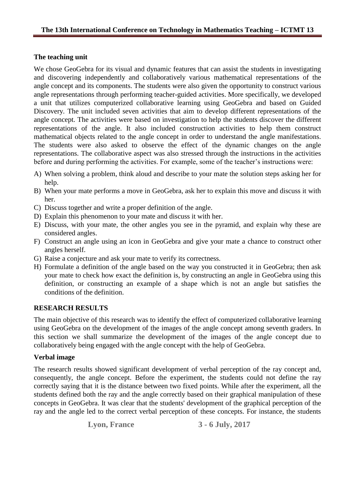# **The teaching unit**

We chose GeoGebra for its visual and dynamic features that can assist the students in investigating and discovering independently and collaboratively various mathematical representations of the angle concept and its components. The students were also given the opportunity to construct various angle representations through performing teacher-guided activities. More specifically, we developed a unit that utilizes computerized collaborative learning using GeoGebra and based on Guided Discovery. The unit included seven activities that aim to develop different representations of the angle concept. The activities were based on investigation to help the students discover the different representations of the angle. It also included construction activities to help them construct mathematical objects related to the angle concept in order to understand the angle manifestations. The students were also asked to observe the effect of the dynamic changes on the angle representations. The collaborative aspect was also stressed through the instructions in the activities before and during performing the activities. For example, some of the teacher's instructions were:

- A) When solving a problem, think aloud and describe to your mate the solution steps asking her for help.
- B) When your mate performs a move in GeoGebra, ask her to explain this move and discuss it with her.
- C) Discuss together and write a proper definition of the angle.
- D) Explain this phenomenon to your mate and discuss it with her.
- E) Discuss, with your mate, the other angles you see in the pyramid, and explain why these are considered angles.
- F) Construct an angle using an icon in GeoGebra and give your mate a chance to construct other angles herself.
- G) Raise a conjecture and ask your mate to verify its correctness.
- H) Formulate a definition of the angle based on the way you constructed it in GeoGebra; then ask your mate to check how exact the definition is, by constructing an angle in GeoGebra using this definition, or constructing an example of a shape which is not an angle but satisfies the conditions of the definition.

# **RESEARCH RESULTS**

The main objective of this research was to identify the effect of computerized collaborative learning using GeoGebra on the development of the images of the angle concept among seventh graders. In this section we shall summarize the development of the images of the angle concept due to collaboratively being engaged with the angle concept with the help of GeoGebra.

#### **Verbal image**

The research results showed significant development of verbal perception of the ray concept and, consequently, the angle concept. Before the experiment, the students could not define the ray correctly saying that it is the distance between two fixed points. While after the experiment, all the students defined both the ray and the angle correctly based on their graphical manipulation of these concepts in GeoGebra. It was clear that the students' development of the graphical perception of the ray and the angle led to the correct verbal perception of these concepts. For instance, the students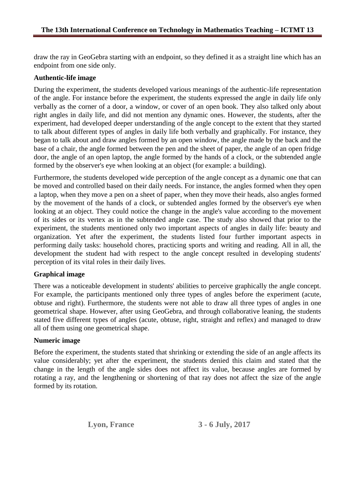draw the ray in GeoGebra starting with an endpoint, so they defined it as a straight line which has an endpoint from one side only.

#### **Authentic-life image**

During the experiment, the students developed various meanings of the authentic-life representation of the angle. For instance before the experiment, the students expressed the angle in daily life only verbally as the corner of a door, a window, or cover of an open book. They also talked only about right angles in daily life, and did not mention any dynamic ones. However, the students, after the experiment, had developed deeper understanding of the angle concept to the extent that they started to talk about different types of angles in daily life both verbally and graphically. For instance, they began to talk about and draw angles formed by an open window, the angle made by the back and the base of a chair, the angle formed between the pen and the sheet of paper, the angle of an open fridge door, the angle of an open laptop, the angle formed by the hands of a clock, or the subtended angle formed by the observer's eye when looking at an object (for example: a building).

Furthermore, the students developed wide perception of the angle concept as a dynamic one that can be moved and controlled based on their daily needs. For instance, the angles formed when they open a laptop, when they move a pen on a sheet of paper, when they move their heads, also angles formed by the movement of the hands of a clock, or subtended angles formed by the observer's eye when looking at an object. They could notice the change in the angle's value according to the movement of its sides or its vertex as in the subtended angle case. The study also showed that prior to the experiment, the students mentioned only two important aspects of angles in daily life: beauty and organization. Yet after the experiment, the students listed four further important aspects in performing daily tasks: household chores, practicing sports and writing and reading. All in all, the development the student had with respect to the angle concept resulted in developing students' perception of its vital roles in their daily lives.

#### **Graphical image**

There was a noticeable development in students' abilities to perceive graphically the angle concept. For example, the participants mentioned only three types of angles before the experiment (acute, obtuse and right). Furthermore, the students were not able to draw all three types of angles in one geometrical shape. However, after using GeoGebra, and through collaborative leaning, the students stated five different types of angles (acute, obtuse, right, straight and reflex) and managed to draw all of them using one geometrical shape.

#### **Numeric image**

Before the experiment, the students stated that shrinking or extending the side of an angle affects its value considerably; yet after the experiment, the students denied this claim and stated that the change in the length of the angle sides does not affect its value, because angles are formed by rotating a ray, and the lengthening or shortening of that ray does not affect the size of the angle formed by its rotation.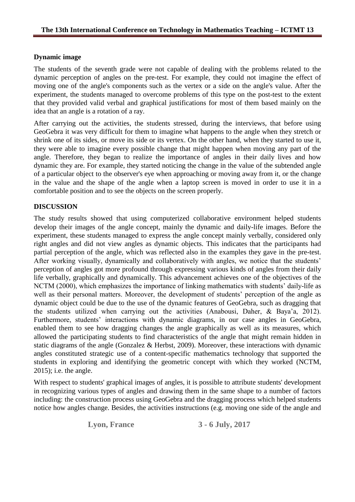# **Dynamic image**

The students of the seventh grade were not capable of dealing with the problems related to the dynamic perception of angles on the pre-test. For example, they could not imagine the effect of moving one of the angle's components such as the vertex or a side on the angle's value. After the experiment, the students managed to overcome problems of this type on the post-test to the extent that they provided valid verbal and graphical justifications for most of them based mainly on the idea that an angle is a rotation of a ray.

After carrying out the activities, the students stressed, during the interviews, that before using GeoGebra it was very difficult for them to imagine what happens to the angle when they stretch or shrink one of its sides, or move its side or its vertex. On the other hand, when they started to use it, they were able to imagine every possible change that might happen when moving any part of the angle. Therefore, they began to realize the importance of angles in their daily lives and how dynamic they are. For example, they started noticing the change in the value of the subtended angle of a particular object to the observer's eye when approaching or moving away from it, or the change in the value and the shape of the angle when a laptop screen is moved in order to use it in a comfortable position and to see the objects on the screen properly.

# **DISCUSSION**

The study results showed that using computerized collaborative environment helped students develop their images of the angle concept, mainly the dynamic and daily-life images. Before the experiment, these students managed to express the angle concept mainly verbally, considered only right angles and did not view angles as dynamic objects. This indicates that the participants had partial perception of the angle, which was reflected also in the examples they gave in the pre-test. After working visually, dynamically and collaboratively with angles, we notice that the students' perception of angles got more profound through expressing various kinds of angles from their daily life verbally, graphically and dynamically. This advancement achieves one of the objectives of the NCTM (2000), which emphasizes the importance of linking mathematics with students' daily-life as well as their personal matters. Moreover, the development of students' perception of the angle as dynamic object could be due to the use of the dynamic features of GeoGebra, such as dragging that the students utilized when carrying out the activities (Anabousi, Daher, & Baya'a, 2012). Furthermore, students' interactions with dynamic diagrams, in our case angles in GeoGebra, enabled them to see how dragging changes the angle graphically as well as its measures, which allowed the participating students to find characteristics of the angle that might remain hidden in static diagrams of the angle (Gonzalez & Herbst, 2009). Moreover, these interactions with dynamic angles constituted strategic use of a content-specific mathematics technology that supported the students in exploring and identifying the geometric concept with which they worked (NCTM, 2015); i.e. the angle.

With respect to students' graphical images of angles, it is possible to attribute students' development in recognizing various types of angles and drawing them in the same shape to a number of factors including: the construction process using GeoGebra and the dragging process which helped students notice how angles change. Besides, the activities instructions (e.g. moving one side of the angle and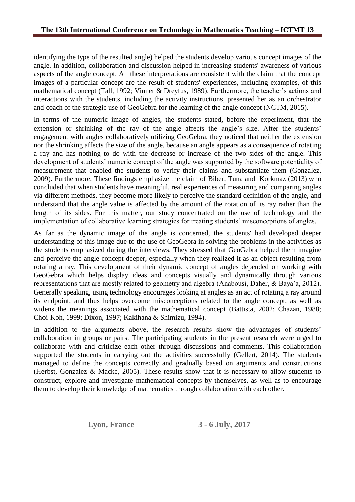identifying the type of the resulted angle) helped the students develop various concept images of the angle. In addition, collaboration and discussion helped in increasing students' awareness of various aspects of the angle concept. All these interpretations are consistent with the claim that the concept images of a particular concept are the result of students' experiences, including examples, of this mathematical concept (Tall, 1992; Vinner & Dreyfus, 1989). Furthermore, the teacher's actions and interactions with the students, including the activity instructions, presented her as an orchestrator and coach of the strategic use of GeoGebra for the learning of the angle concept (NCTM, 2015).

In terms of the numeric image of angles, the students stated, before the experiment, that the extension or shrinking of the ray of the angle affects the angle's size. After the students' engagement with angles collaboratively utilizing GeoGebra, they noticed that neither the extension nor the shrinking affects the size of the angle, because an angle appears as a consequence of rotating a ray and has nothing to do with the decrease or increase of the two sides of the angle. This development of students' numeric concept of the angle was supported by the software potentiality of measurement that enabled the students to verify their claims and substantiate them (Gonzalez, 2009). Furthermore, These findings emphasize the claim of Biber, Tuna and Korkmaz (2013) who concluded that when students have meaningful, real experiences of measuring and comparing angles via different methods, they become more likely to perceive the standard definition of the angle, and understand that the angle value is affected by the amount of the rotation of its ray rather than the length of its sides. For this matter, our study concentrated on the use of technology and the implementation of collaborative learning strategies for treating students' misconceptions of angles.

As far as the dynamic image of the angle is concerned, the students' had developed deeper understanding of this image due to the use of GeoGebra in solving the problems in the activities as the students emphasized during the interviews. They stressed that GeoGebra helped them imagine and perceive the angle concept deeper, especially when they realized it as an object resulting from rotating a ray. This development of their dynamic concept of angles depended on working with GeoGebra which helps display ideas and concepts visually and dynamically through various representations that are mostly related to geometry and algebra (Anabousi, Daher, & Baya'a, 2012). Generally speaking, using technology encourages looking at angles as an act of rotating a ray around its endpoint, and thus helps overcome misconceptions related to the angle concept, as well as widens the meanings associated with the mathematical concept (Battista, 2002; Chazan, 1988; Choi-Koh, 1999; Dixon, 1997; Kakihana & Shimizu, 1994).

In addition to the arguments above, the research results show the advantages of students' collaboration in groups or pairs. The participating students in the present research were urged to collaborate with and criticize each other through discussions and comments. This collaboration supported the students in carrying out the activities successfully (Gellert, 2014). The students managed to define the concepts correctly and gradually based on arguments and constructions (Herbst, Gonzalez & Macke, 2005). These results show that it is necessary to allow students to construct, explore and investigate mathematical concepts by themselves, as well as to encourage them to develop their knowledge of mathematics through collaboration with each other.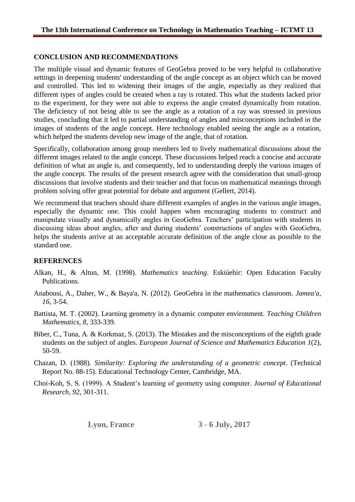## **CONCLUSION AND RECOMMENDATIONS**

The multiple visual and dynamic features of GeoGebra proved to be very helpful in collaborative settings in deepening students' understanding of the angle concept as an object which can be moved and controlled. This led to widening their images of the angle, especially as they realized that different types of angles could be created when a ray is rotated. This what the students lacked prior to the experiment, for they were not able to express the angle created dynamically from rotation. The deficiency of not being able to see the angle as a rotation of a ray was stressed in previous studies, concluding that it led to partial understanding of angles and misconceptions included in the images of students of the angle concept. Here technology enabled seeing the angle as a rotation, which helped the students develop new image of the angle, that of rotation.

Specifically, collaboration among group members led to lively mathematical discussions about the different images related to the angle concept. These discussions helped reach a concise and accurate definition of what an angle is, and consequently, led to understanding deeply the various images of the angle concept. The results of the present research agree with the consideration that small-group discussions that involve students and their teacher and that focus on mathematical meanings through problem solving offer great potential for debate and argument (Gellert, 2014).

We recommend that teachers should share different examples of angles in the various angle images, especially the dynamic one. This could happen when encouraging students to construct and manipulate visually and dynamically angles in GeoGebra. Teachers' participation with students in discussing ideas about angles, after and during students' constructions of angles with GeoGebra, helps the students arrive at an acceptable accurate definition of the angle close as possible to the standard one.

# **REFERENCES**

- Alkan, H., & Altun, M. (1998). *Mathematics teaching*. Eskiúehir: Open Education Faculty Publications.
- Anabousi, A., Daher, W., & Baya'a, N. (2012). GeoGebra in the mathematics classroom. *Jamea'a*, *16*, 3-54.
- Battista, M. T. (2002). Learning geometry in a dynamic computer environment. *Teaching Children Mathematics*, *8,* 333-339.
- Biber, C., Tuna, A. & Korkmaz, S. (2013). The Mistakes and the misconceptions of the eighth grade students on the subject of angles. *European Journal of Science and Mathematics Education 1*(2), 50-59.
- Chazan, D. (1988). *Similarity: Exploring the understanding of a geometric concept*. (Technical Report No. 88-15). Educational Technology Center, Cambridge, MA.
- Choi-Koh, S. S. (1999). A Student's learning of geometry using computer. *Journal of Educational Research, 92*, 301-311.